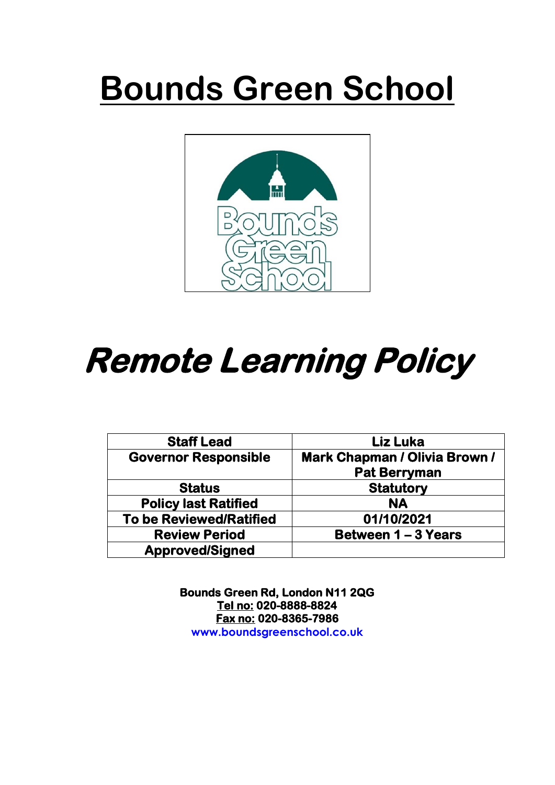# **Bounds Green School**



# **Remote Learning Policy**

| <b>Staff Lead</b>              | <b>Liz Luka</b>                      |
|--------------------------------|--------------------------------------|
| <b>Governor Responsible</b>    | <b>Mark Chapman / Olivia Brown /</b> |
|                                | <b>Pat Berryman</b>                  |
| <b>Status</b>                  | <b>Statutory</b>                     |
| <b>Policy last Ratified</b>    | <b>NA</b>                            |
| <b>To be Reviewed/Ratified</b> | 01/10/2021                           |
| <b>Review Period</b>           | Between 1 – 3 Years                  |
| <b>Approved/Signed</b>         |                                      |

**Bounds Green Rd, London N11 2QG Tel no: 020-8888-8824 Fax no: 020-8365-7986 www.boundsgreenschool.co.uk**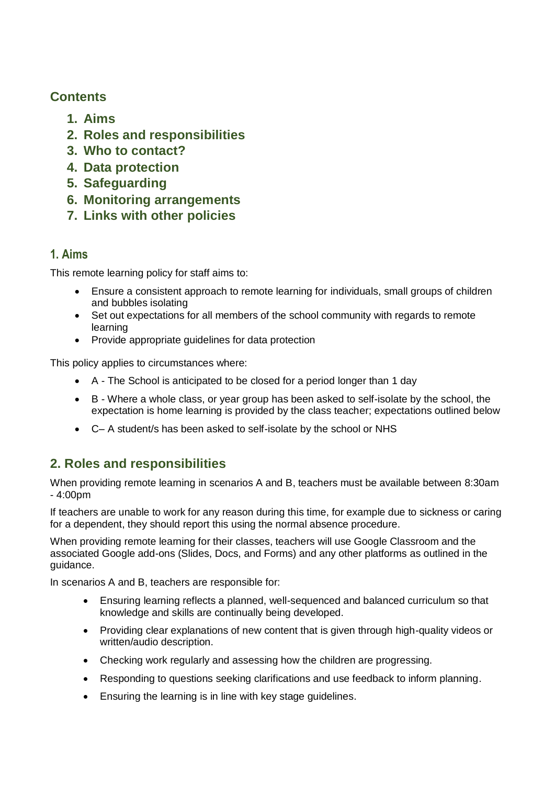# **Contents**

- **1. Aims**
- **2. Roles and responsibilities**
- **3. Who to contact?**
- **4. Data protection**
- **5. Safeguarding**
- **6. Monitoring arrangements**
- **7. Links with other policies**

# **1. Aims**

This remote learning policy for staff aims to:

- Ensure a consistent approach to remote learning for individuals, small groups of children and bubbles isolating
- Set out expectations for all members of the school community with regards to remote learning
- Provide appropriate quidelines for data protection

This policy applies to circumstances where:

- A The School is anticipated to be closed for a period longer than 1 day
- B Where a whole class, or year group has been asked to self-isolate by the school, the expectation is home learning is provided by the class teacher; expectations outlined below
- C– A student/s has been asked to self-isolate by the school or NHS

# **2. Roles and responsibilities**

When providing remote learning in scenarios A and B, teachers must be available between 8:30am - 4:00pm

If teachers are unable to work for any reason during this time, for example due to sickness or caring for a dependent, they should report this using the normal absence procedure.

When providing remote learning for their classes, teachers will use Google Classroom and the associated Google add-ons (Slides, Docs, and Forms) and any other platforms as outlined in the guidance.

In scenarios A and B, teachers are responsible for:

- Ensuring learning reflects a planned, well-sequenced and balanced curriculum so that knowledge and skills are continually being developed.
- Providing clear explanations of new content that is given through high-quality videos or written/audio description.
- Checking work regularly and assessing how the children are progressing.
- Responding to questions seeking clarifications and use feedback to inform planning.
- Ensuring the learning is in line with key stage guidelines.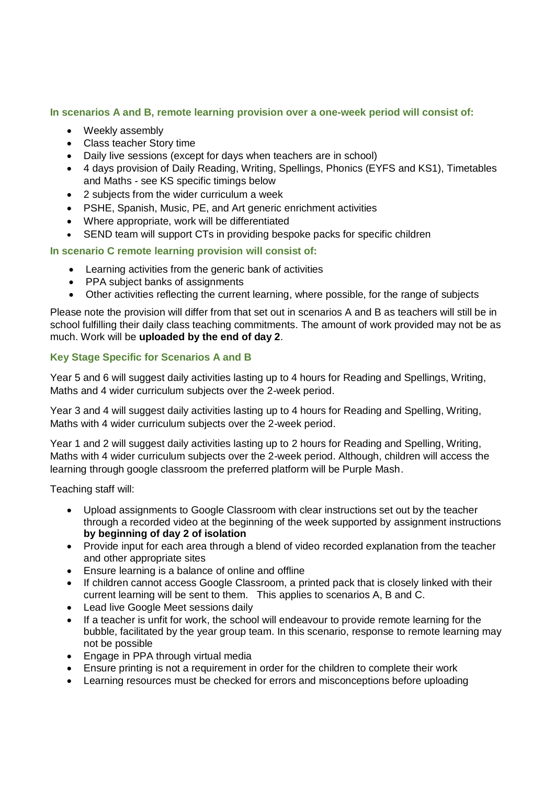**In scenarios A and B, remote learning provision over a one-week period will consist of:**

- Weekly assembly
- Class teacher Story time
- Daily live sessions (except for days when teachers are in school)
- 4 days provision of Daily Reading, Writing, Spellings, Phonics (EYFS and KS1), Timetables and Maths - see KS specific timings below
- 2 subjects from the wider curriculum a week
- PSHE, Spanish, Music, PE, and Art generic enrichment activities
- Where appropriate, work will be differentiated
- SEND team will support CTs in providing bespoke packs for specific children

#### **In scenario C remote learning provision will consist of:**

- Learning activities from the generic bank of activities
- PPA subject banks of assignments
- Other activities reflecting the current learning, where possible, for the range of subjects

Please note the provision will differ from that set out in scenarios A and B as teachers will still be in school fulfilling their daily class teaching commitments. The amount of work provided may not be as much. Work will be **uploaded by the end of day 2**.

#### **Key Stage Specific for Scenarios A and B**

Year 5 and 6 will suggest daily activities lasting up to 4 hours for Reading and Spellings, Writing, Maths and 4 wider curriculum subjects over the 2-week period.

Year 3 and 4 will suggest daily activities lasting up to 4 hours for Reading and Spelling, Writing, Maths with 4 wider curriculum subjects over the 2-week period.

Year 1 and 2 will suggest daily activities lasting up to 2 hours for Reading and Spelling, Writing, Maths with 4 wider curriculum subjects over the 2-week period. Although, children will access the learning through google classroom the preferred platform will be Purple Mash.

Teaching staff will:

- Upload assignments to Google Classroom with clear instructions set out by the teacher through a recorded video at the beginning of the week supported by assignment instructions **by beginning of day 2 of isolation**
- Provide input for each area through a blend of video recorded explanation from the teacher and other appropriate sites
- Ensure learning is a balance of online and offline
- If children cannot access Google Classroom, a printed pack that is closely linked with their current learning will be sent to them. This applies to scenarios A, B and C.
- Lead live Google Meet sessions daily
- If a teacher is unfit for work, the school will endeavour to provide remote learning for the bubble, facilitated by the year group team. In this scenario, response to remote learning may not be possible
- Engage in PPA through virtual media
- Ensure printing is not a requirement in order for the children to complete their work
- Learning resources must be checked for errors and misconceptions before uploading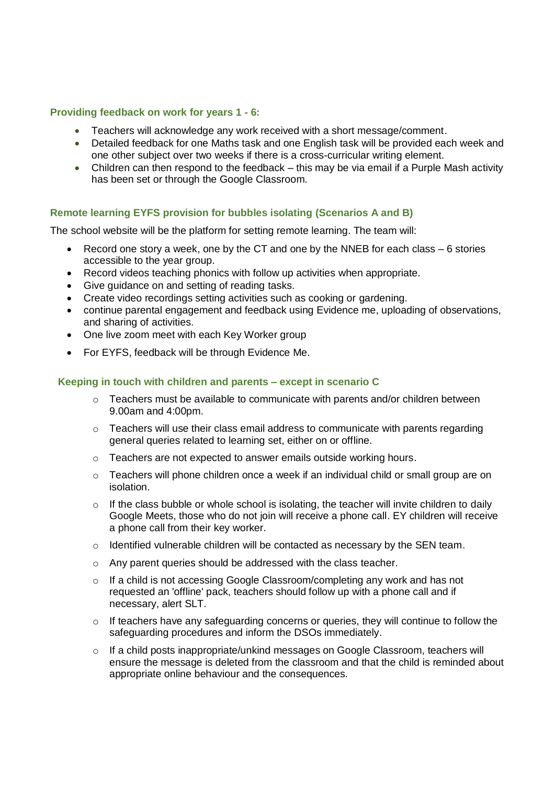#### **Providing feedback on work for years 1 - 6:**

- Teachers will acknowledge any work received with a short message/comment.
- Detailed feedback for one Maths task and one English task will be provided each week and one other subject over two weeks if there is a cross-curricular writing element.
- Children can then respond to the feedback this may be via email if a Purple Mash activity has been set or through the Google Classroom.

#### **Remote learning EYFS provision for bubbles isolating (Scenarios A and B)**

The school website will be the platform for setting remote learning. The team will:

- Record one story a week, one by the CT and one by the NNEB for each class 6 stories accessible to the year group.
- Record videos teaching phonics with follow up activities when appropriate.
- Give guidance on and setting of reading tasks.
- Create video recordings setting activities such as cooking or gardening.
- continue parental engagement and feedback using Evidence me, uploading of observations, and sharing of activities.
- One live zoom meet with each Key Worker group
- For EYFS, feedback will be through Evidence Me.

#### **Keeping in touch with children and parents – except in scenario C**

- $\circ$  Teachers must be available to communicate with parents and/or children between 9.00am and 4:00pm.
- $\circ$  Teachers will use their class email address to communicate with parents regarding general queries related to learning set, either on or offline.
- o Teachers are not expected to answer emails outside working hours.
- $\circ$  Teachers will phone children once a week if an individual child or small group are on isolation.
- $\circ$  If the class bubble or whole school is isolating, the teacher will invite children to daily Google Meets, those who do not join will receive a phone call. EY children will receive a phone call from their key worker.
- o Identified vulnerable children will be contacted as necessary by the SEN team.
- o Any parent queries should be addressed with the class teacher.
- $\circ$  If a child is not accessing Google Classroom/completing any work and has not requested an 'offline' pack, teachers should follow up with a phone call and if necessary, alert SLT.
- o If teachers have any safeguarding concerns or queries, they will continue to follow the safeguarding procedures and inform the DSOs immediately.
- $\circ$  If a child posts inappropriate/unkind messages on Google Classroom, teachers will ensure the message is deleted from the classroom and that the child is reminded about appropriate online behaviour and the consequences*.*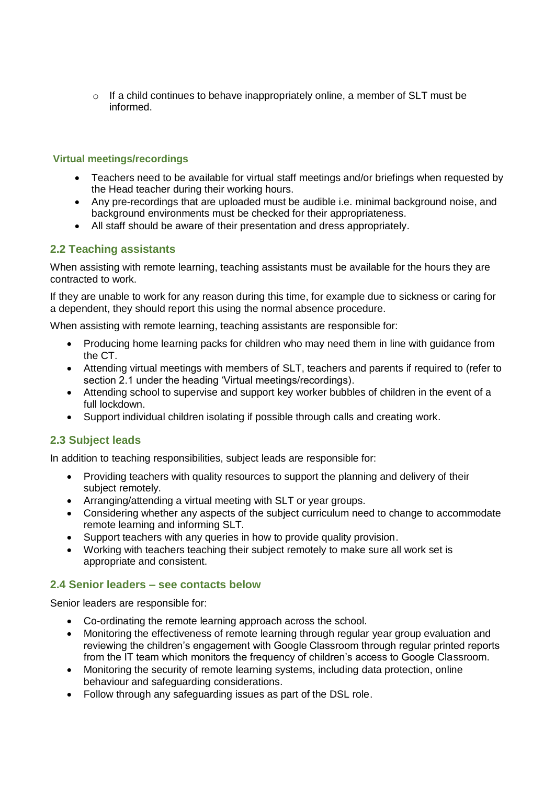$\circ$  If a child continues to behave inappropriately online, a member of SLT must be informed.

#### **Virtual meetings/recordings**

- Teachers need to be available for virtual staff meetings and/or briefings when requested by the Head teacher during their working hours.
- Any pre-recordings that are uploaded must be audible i.e. minimal background noise, and background environments must be checked for their appropriateness.
- All staff should be aware of their presentation and dress appropriately.

# **2.2 Teaching assistants**

When assisting with remote learning, teaching assistants must be available for the hours they are contracted to work.

If they are unable to work for any reason during this time, for example due to sickness or caring for a dependent, they should report this using the normal absence procedure.

When assisting with remote learning, teaching assistants are responsible for:

- Producing home learning packs for children who may need them in line with guidance from the CT.
- Attending virtual meetings with members of SLT, teachers and parents if required to (refer to section 2.1 under the heading 'Virtual meetings/recordings).
- Attending school to supervise and support key worker bubbles of children in the event of a full lockdown.
- Support individual children isolating if possible through calls and creating work.

## **2.3 Subject leads**

In addition to teaching responsibilities, subject leads are responsible for:

- Providing teachers with quality resources to support the planning and delivery of their subject remotely.
- Arranging/attending a virtual meeting with SLT or year groups.
- Considering whether any aspects of the subject curriculum need to change to accommodate remote learning and informing SLT.
- Support teachers with any queries in how to provide quality provision.
- Working with teachers teaching their subject remotely to make sure all work set is appropriate and consistent.

#### **2.4 Senior leaders – see contacts below**

Senior leaders are responsible for:

- Co-ordinating the remote learning approach across the school.
- Monitoring the effectiveness of remote learning through regular year group evaluation and reviewing the children's engagement with Google Classroom through regular printed reports from the IT team which monitors the frequency of children's access to Google Classroom.
- Monitoring the security of remote learning systems, including data protection, online behaviour and safeguarding considerations.
- Follow through any safeguarding issues as part of the DSL role.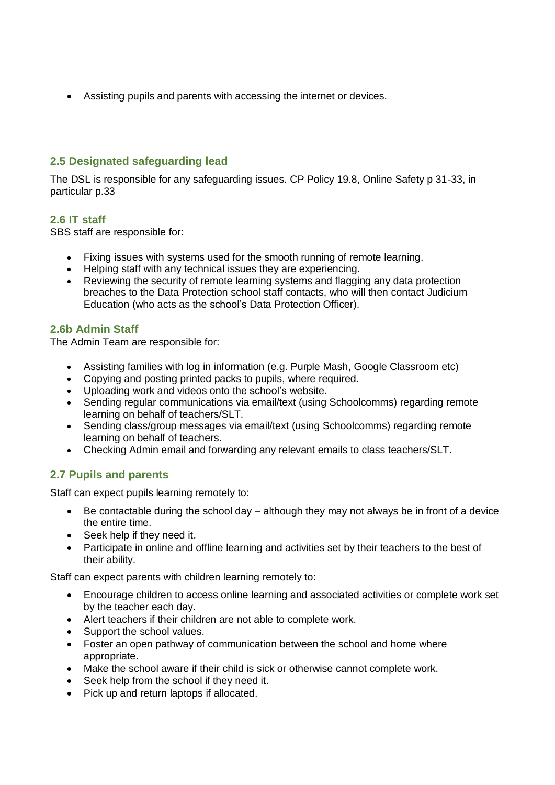Assisting pupils and parents with accessing the internet or devices.

## **2.5 Designated safeguarding lead**

The DSL is responsible for any safeguarding issues. CP Policy 19.8, Online Safety p 31-33, in particular p.33

## **2.6 IT staff**

SBS staff are responsible for:

- Fixing issues with systems used for the smooth running of remote learning.
- Helping staff with any technical issues they are experiencing.
- Reviewing the security of remote learning systems and flagging any data protection breaches to the Data Protection school staff contacts, who will then contact Judicium Education (who acts as the school's Data Protection Officer).

# **2.6b Admin Staff**

The Admin Team are responsible for:

- Assisting families with log in information (e.g. Purple Mash, Google Classroom etc)
- Copying and posting printed packs to pupils, where required.
- Uploading work and videos onto the school's website.
- Sending regular communications via email/text (using Schoolcomms) regarding remote learning on behalf of teachers/SLT.
- Sending class/group messages via email/text (using Schoolcomms) regarding remote learning on behalf of teachers.
- Checking Admin email and forwarding any relevant emails to class teachers/SLT.

# **2.7 Pupils and parents**

Staff can expect pupils learning remotely to:

- Be contactable during the school day although they may not always be in front of a device the entire time.
- Seek help if they need it.
- Participate in online and offline learning and activities set by their teachers to the best of their ability.

Staff can expect parents with children learning remotely to:

- Encourage children to access online learning and associated activities or complete work set by the teacher each day.
- Alert teachers if their children are not able to complete work.
- Support the school values.
- Foster an open pathway of communication between the school and home where appropriate.
- Make the school aware if their child is sick or otherwise cannot complete work.
- Seek help from the school if they need it.
- Pick up and return laptops if allocated.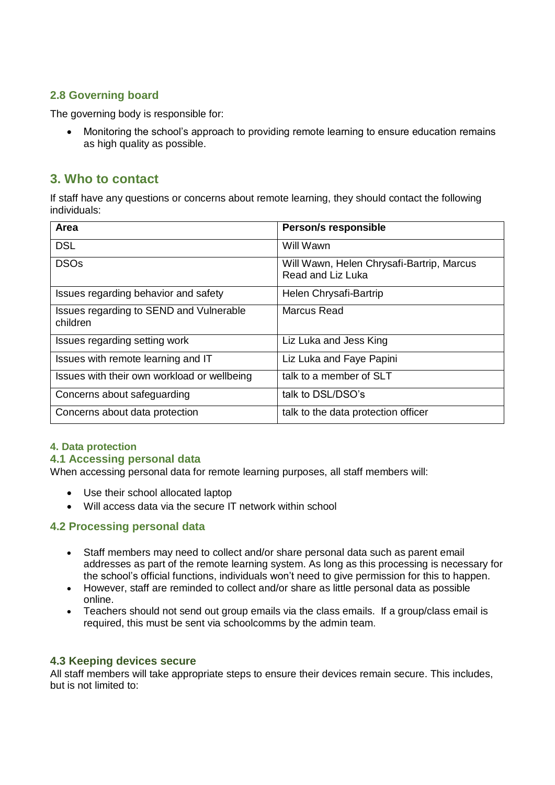# **2.8 Governing board**

The governing body is responsible for:

• Monitoring the school's approach to providing remote learning to ensure education remains as high quality as possible.

# **3. Who to contact**

If staff have any questions or concerns about remote learning, they should contact the following individuals:

| Area                                                | Person/s responsible                                           |
|-----------------------------------------------------|----------------------------------------------------------------|
| <b>DSL</b>                                          | Will Wawn                                                      |
| <b>DSOs</b>                                         | Will Wawn, Helen Chrysafi-Bartrip, Marcus<br>Read and Liz Luka |
| Issues regarding behavior and safety                | Helen Chrysafi-Bartrip                                         |
| Issues regarding to SEND and Vulnerable<br>children | Marcus Read                                                    |
| Issues regarding setting work                       | Liz Luka and Jess King                                         |
| Issues with remote learning and IT                  | Liz Luka and Faye Papini                                       |
| Issues with their own workload or wellbeing         | talk to a member of SLT                                        |
| Concerns about safeguarding                         | talk to DSL/DSO's                                              |
| Concerns about data protection                      | talk to the data protection officer                            |

#### **4. Data protection**

#### **4.1 Accessing personal data**

When accessing personal data for remote learning purposes, all staff members will:

- Use their school allocated laptop
- Will access data via the secure IT network within school

## **4.2 Processing personal data**

- Staff members may need to collect and/or share personal data such as parent email addresses as part of the remote learning system. As long as this processing is necessary for the school's official functions, individuals won't need to give permission for this to happen.
- However, staff are reminded to collect and/or share as little personal data as possible online.
- Teachers should not send out group emails via the class emails. If a group/class email is required, this must be sent via schoolcomms by the admin team.

#### **4.3 Keeping devices secure**

All staff members will take appropriate steps to ensure their devices remain secure. This includes, but is not limited to: